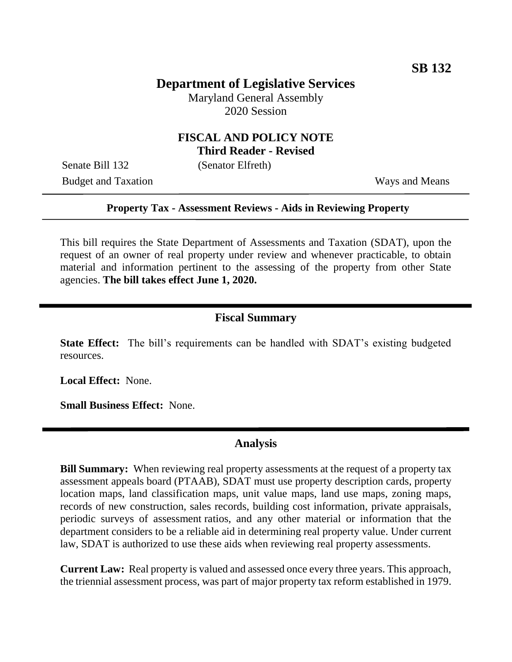# **Department of Legislative Services**

Maryland General Assembly 2020 Session

### **FISCAL AND POLICY NOTE Third Reader - Revised**

Senate Bill 132 (Senator Elfreth)

Budget and Taxation Ways and Means

#### **Property Tax - Assessment Reviews - Aids in Reviewing Property**

This bill requires the State Department of Assessments and Taxation (SDAT), upon the request of an owner of real property under review and whenever practicable, to obtain material and information pertinent to the assessing of the property from other State agencies. **The bill takes effect June 1, 2020.**

#### **Fiscal Summary**

**State Effect:** The bill's requirements can be handled with SDAT's existing budgeted resources.

**Local Effect:** None.

**Small Business Effect:** None.

### **Analysis**

**Bill Summary:** When reviewing real property assessments at the request of a property tax assessment appeals board (PTAAB), SDAT must use property description cards, property location maps, land classification maps, unit value maps, land use maps, zoning maps, records of new construction, sales records, building cost information, private appraisals, periodic surveys of assessment ratios, and any other material or information that the department considers to be a reliable aid in determining real property value. Under current law, SDAT is authorized to use these aids when reviewing real property assessments.

**Current Law:** Real property is valued and assessed once every three years. This approach, the triennial assessment process, was part of major property tax reform established in 1979.